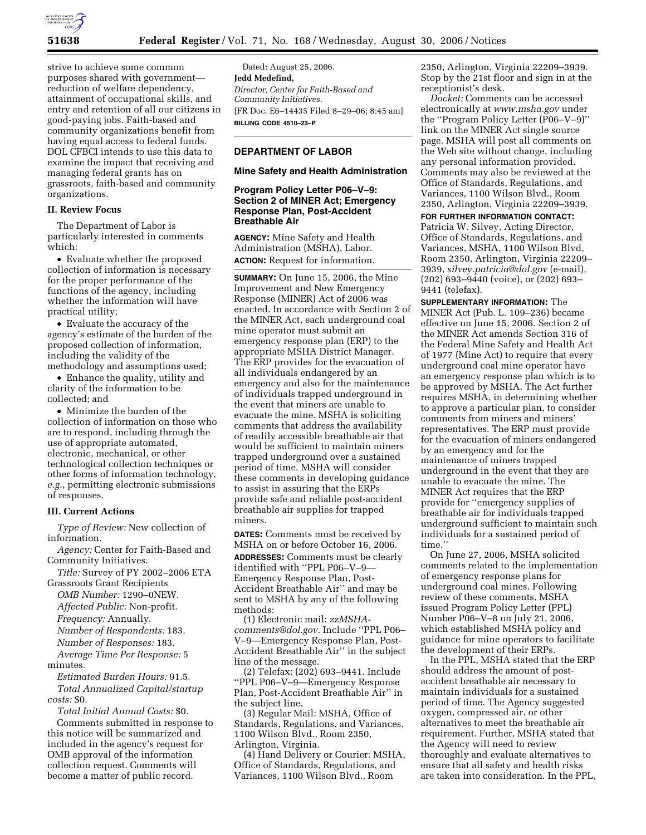

strive to achieve some common purposes shared with government reduction of welfare dependency, attainment of occupational skills, and entry and retention of all our citizens in good-paying jobs. Faith-based and community organizations benefit from having equal access to federal funds. DOL CFBCI intends to use this data to examine the impact that receiving and managing federal grants has on grassroots, faith-based and community organizations.

## **II. Review Focus**

The Department of Labor is particularly interested in comments which:

• Evaluate whether the proposed collection of information is necessary for the proper performance of the functions of the agency, including whether the information will have practical utility;

• Evaluate the accuracy of the agency's estimate of the burden of the proposed collection of information, including the validity of the methodology and assumptions used;

• Enhance the quality, utility and clarity of the information to be collected; and

• Minimize the burden of the collection of information on those who are to respond, including through the use of appropriate automated, electronic, mechanical, or other technological collection techniques or other forms of information technology, *e.g.*, permitting electronic submissions of responses.

#### **III. Current Actions**

*Type of Review:* New collection of information.

*Agency:* Center for Faith-Based and Community Initiatives.

*Title:* Survey of PY 2002–2006 ETA Grassroots Grant Recipients

*OMB Number:* 1290–0NEW.

*Affected Public:* Non-profit.

*Frequency:* Annually.

*Number of Respondents:* 183.

*Number of Responses:* 183.

*Average Time Per Response:* 5 minutes.

*Estimated Burden Hours:* 91.5. *Total Annualized Capital/startup costs:* \$0.

*Total Initial Annual Costs:* \$0. Comments submitted in response to this notice will be summarized and included in the agency's request for OMB approval of the information collection request. Comments will become a matter of public record.

Dated: August 25, 2006. **Jedd Medefind,**  *Director, Center for Faith-Based and Community Initiatives.*  [FR Doc. E6–14435 Filed 8–29–06; 8:45 am] **BILLING CODE 4510–23–P** 

# **DEPARTMENT OF LABOR**

#### **Mine Safety and Health Administration**

# **Program Policy Letter P06–V–9: Section 2 of MINER Act; Emergency Response Plan, Post-Accident Breathable Air**

**AGENCY:** Mine Safety and Health Administration (MSHA), Labor. **ACTION:** Request for information.

**SUMMARY:** On June 15, 2006, the Mine Improvement and New Emergency Response (MINER) Act of 2006 was enacted. In accordance with Section 2 of the MINER Act, each underground coal mine operator must submit an emergency response plan (ERP) to the appropriate MSHA District Manager. The ERP provides for the evacuation of all individuals endangered by an emergency and also for the maintenance of individuals trapped underground in the event that miners are unable to evacuate the mine. MSHA is soliciting comments that address the availability of readily accessible breathable air that would be sufficient to maintain miners trapped underground over a sustained period of time. MSHA will consider these comments in developing guidance to assist in assuring that the ERPs provide safe and reliable post-accident breathable air supplies for trapped miners.

**DATES:** Comments must be received by MSHA on or before October 16, 2006. **ADDRESSES:** Comments must be clearly identified with ''PPL P06–V–9— Emergency Response Plan, Post-Accident Breathable Air'' and may be sent to MSHA by any of the following methods:

(1) Electronic mail: *zzMSHAcomments@dol.gov*. Include ''PPL P06– V–9—Emergency Response Plan, Post-Accident Breathable Air'' in the subject line of the message.

(2) Telefax: (202) 693–9441. Include ''PPL P06–V–9—Emergency Response Plan, Post-Accident Breathable Air'' in the subject line.

(3) Regular Mail: MSHA, Office of Standards, Regulations, and Variances, 1100 Wilson Blvd., Room 2350, Arlington, Virginia.

(4) Hand Delivery or Courier: MSHA, Office of Standards, Regulations, and Variances, 1100 Wilson Blvd., Room

2350, Arlington, Virginia 22209–3939. Stop by the 21st floor and sign in at the receptionist's desk.

*Docket:* Comments can be accessed electronically at *www.msha.gov* under the "Program Policy Letter (P06-V-9)" link on the MINER Act single source page. MSHA will post all comments on the Web site without change, including any personal information provided. Comments may also be reviewed at the Office of Standards, Regulations, and Variances, 1100 Wilson Blvd., Room 2350, Arlington, Virginia 22209–3939.

#### **FOR FURTHER INFORMATION CONTACT:**

Patricia W. Silvey, Acting Director, Office of Standards, Regulations, and Variances, MSHA, 1100 Wilson Blvd, Room 2350, Arlington, Virginia 22209– 3939, *silvey.patricia@dol.gov* (e-mail), (202) 693–9440 (voice), or (202) 693– 9441 (telefax).

**SUPPLEMENTARY INFORMATION:** The MINER Act (Pub. L. 109–236) became effective on June 15, 2006. Section 2 of the MINER Act amends Section 316 of the Federal Mine Safety and Health Act of 1977 (Mine Act) to require that every underground coal mine operator have an emergency response plan which is to be approved by MSHA. The Act further requires MSHA, in determining whether to approve a particular plan, to consider comments from miners and miners' representatives. The ERP must provide for the evacuation of miners endangered by an emergency and for the maintenance of miners trapped underground in the event that they are unable to evacuate the mine. The MINER Act requires that the ERP provide for ''emergency supplies of breathable air for individuals trapped underground sufficient to maintain such individuals for a sustained period of time.''

On June 27, 2006, MSHA solicited comments related to the implementation of emergency response plans for underground coal mines. Following review of these comments, MSHA issued Program Policy Letter (PPL) Number P06–V–8 on July 21, 2006, which established MSHA policy and guidance for mine operators to facilitate the development of their ERPs.

In the PPL, MSHA stated that the ERP should address the amount of postaccident breathable air necessary to maintain individuals for a sustained period of time. The Agency suggested oxygen, compressed air, or other alternatives to meet the breathable air requirement. Further, MSHA stated that the Agency will need to review thoroughly and evaluate alternatives to ensure that all safety and health risks are taken into consideration. In the PPL,